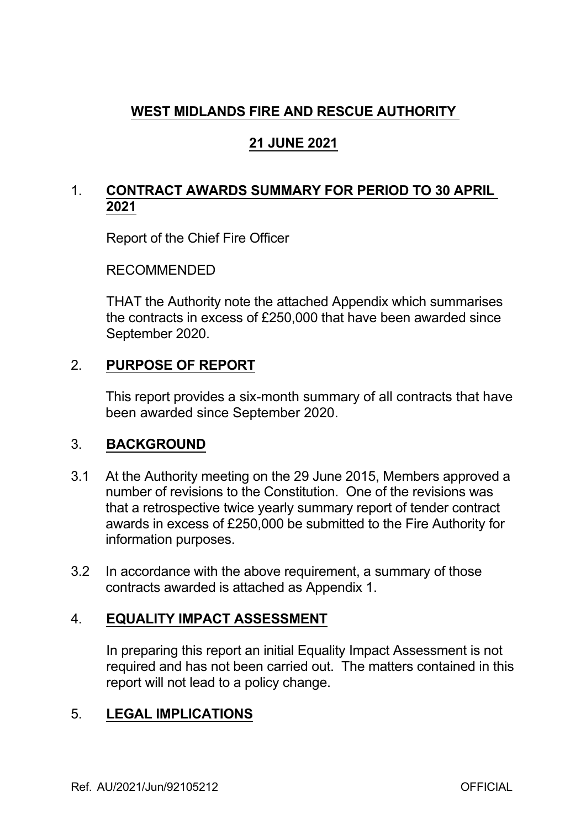# **WEST MIDLANDS FIRE AND RESCUE AUTHORITY**

# **21 JUNE 2021**

# 1. **CONTRACT AWARDS SUMMARY FOR PERIOD TO 30 APRIL 2021**

Report of the Chief Fire Officer

RECOMMENDED

THAT the Authority note the attached Appendix which summarises the contracts in excess of £250,000 that have been awarded since September 2020.

### 2. **PURPOSE OF REPORT**

This report provides a six-month summary of all contracts that have been awarded since September 2020.

### 3. **BACKGROUND**

- 3.1 At the Authority meeting on the 29 June 2015, Members approved a number of revisions to the Constitution. One of the revisions was that a retrospective twice yearly summary report of tender contract awards in excess of £250,000 be submitted to the Fire Authority for information purposes.
- 3.2 In accordance with the above requirement, a summary of those contracts awarded is attached as Appendix 1.

### 4. **EQUALITY IMPACT ASSESSMENT**

In preparing this report an initial Equality Impact Assessment is not required and has not been carried out. The matters contained in this report will not lead to a policy change.

### 5. **LEGAL IMPLICATIONS**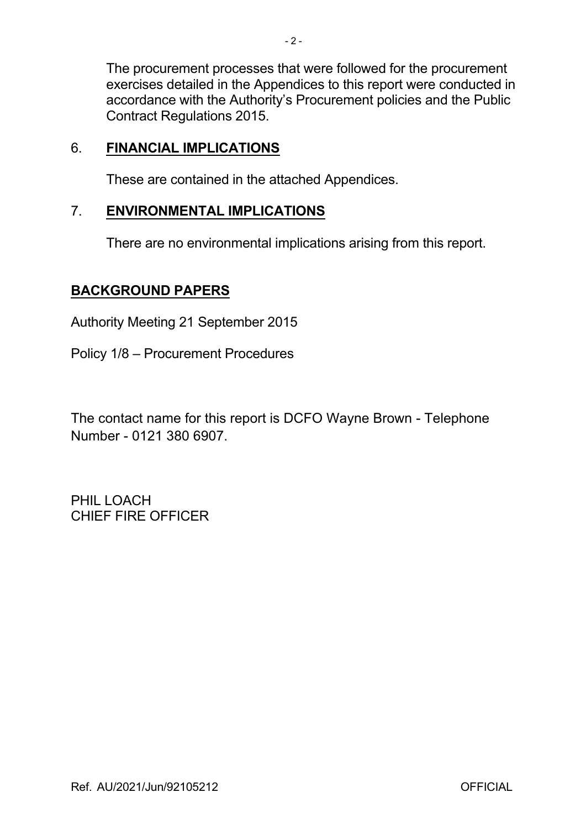The procurement processes that were followed for the procurement exercises detailed in the Appendices to this report were conducted in accordance with the Authority's Procurement policies and the Public Contract Regulations 2015.

### 6. **FINANCIAL IMPLICATIONS**

These are contained in the attached Appendices.

#### 7. **ENVIRONMENTAL IMPLICATIONS**

There are no environmental implications arising from this report.

#### **BACKGROUND PAPERS**

Authority Meeting 21 September 2015

Policy 1/8 – Procurement Procedures

The contact name for this report is DCFO Wayne Brown Telephone Number - 0121 380 6907.

PHIL LOACH CHIEF FIRE OFFICER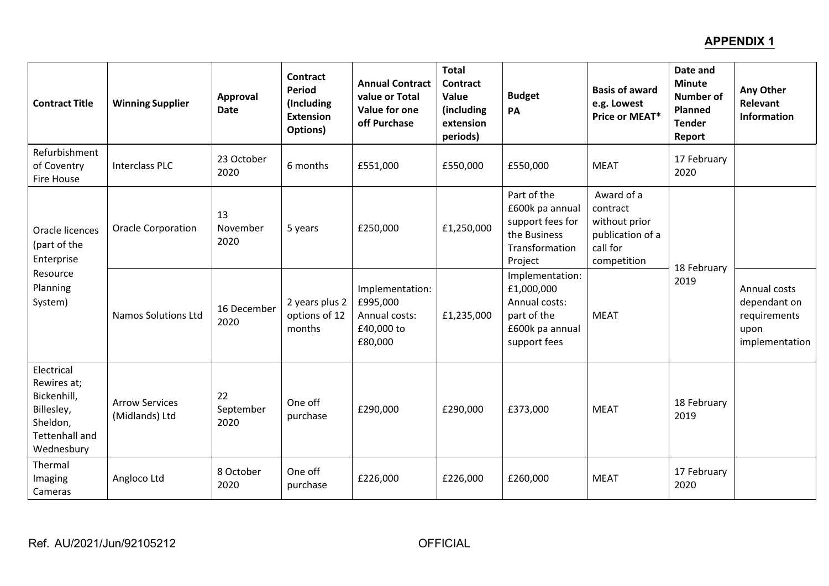### **APPENDIX 1**

| <b>Contract Title</b>                                                                                     | <b>Winning Supplier</b>                 | Approval<br><b>Date</b> | <b>Contract</b><br><b>Period</b><br>(Including<br><b>Extension</b><br>Options) | <b>Annual Contract</b><br>value or Total<br>Value for one<br>off Purchase | <b>Total</b><br><b>Contract</b><br>Value<br>(including<br>extension<br>periods) | <b>Budget</b><br>PA                                                                              | <b>Basis of award</b><br>e.g. Lowest<br>Price or MEAT*                                 | Date and<br><b>Minute</b><br><b>Number of</b><br><b>Planned</b><br><b>Tender</b><br>Report | Any Other<br><b>Relevant</b><br><b>Information</b>                     |
|-----------------------------------------------------------------------------------------------------------|-----------------------------------------|-------------------------|--------------------------------------------------------------------------------|---------------------------------------------------------------------------|---------------------------------------------------------------------------------|--------------------------------------------------------------------------------------------------|----------------------------------------------------------------------------------------|--------------------------------------------------------------------------------------------|------------------------------------------------------------------------|
| Refurbishment<br>of Coventry<br><b>Fire House</b>                                                         | <b>Interclass PLC</b>                   | 23 October<br>2020      | 6 months                                                                       | £551,000                                                                  | £550,000                                                                        | £550,000                                                                                         | <b>MEAT</b>                                                                            | 17 February<br>2020                                                                        |                                                                        |
| Oracle licences<br>(part of the<br>Enterprise<br>Resource<br>Planning<br>System)                          | <b>Oracle Corporation</b>               | 13<br>November<br>2020  | 5 years                                                                        | £250,000                                                                  | £1,250,000                                                                      | Part of the<br>£600k pa annual<br>support fees for<br>the Business<br>Transformation<br>Project  | Award of a<br>contract<br>without prior<br>publication of a<br>call for<br>competition | 18 February<br>2019                                                                        |                                                                        |
|                                                                                                           | <b>Namos Solutions Ltd</b>              | 16 December<br>2020     | 2 years plus 2<br>options of 12<br>months                                      | Implementation:<br>£995,000<br>Annual costs:<br>£40,000 to<br>£80,000     | £1,235,000                                                                      | Implementation:<br>£1,000,000<br>Annual costs:<br>part of the<br>£600k pa annual<br>support fees | <b>MEAT</b>                                                                            |                                                                                            | Annual costs<br>dependant on<br>requirements<br>upon<br>implementation |
| Electrical<br>Rewires at;<br>Bickenhill,<br>Billesley,<br>Sheldon,<br><b>Tettenhall and</b><br>Wednesbury | <b>Arrow Services</b><br>(Midlands) Ltd | 22<br>September<br>2020 | One off<br>purchase                                                            | £290,000                                                                  | £290,000                                                                        | £373,000                                                                                         | <b>MEAT</b>                                                                            | 18 February<br>2019                                                                        |                                                                        |
| Thermal<br>Imaging<br>Cameras                                                                             | Angloco Ltd                             | 8 October<br>2020       | One off<br>purchase                                                            | £226,000                                                                  | £226,000                                                                        | £260,000                                                                                         | <b>MEAT</b>                                                                            | 17 February<br>2020                                                                        |                                                                        |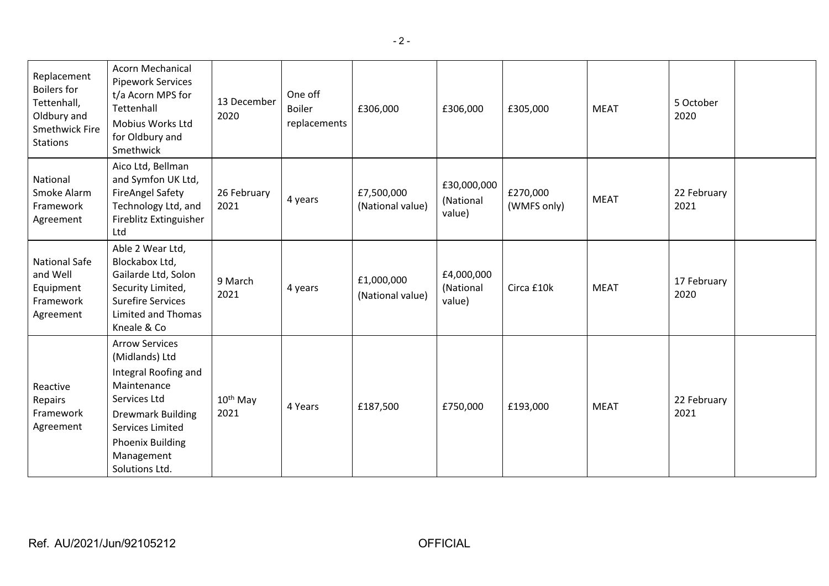| Replacement<br><b>Boilers for</b><br>Tettenhall,<br>Oldbury and<br><b>Smethwick Fire</b><br><b>Stations</b> | <b>Acorn Mechanical</b><br><b>Pipework Services</b><br>t/a Acorn MPS for<br>Tettenhall<br>Mobius Works Ltd<br>for Oldbury and<br>Smethwick                                                                       | 13 December<br>2020          | One off<br><b>Boiler</b><br>replacements | £306,000                       | £306,000                           | £305,000                | <b>MEAT</b> | 5 October<br>2020   |  |
|-------------------------------------------------------------------------------------------------------------|------------------------------------------------------------------------------------------------------------------------------------------------------------------------------------------------------------------|------------------------------|------------------------------------------|--------------------------------|------------------------------------|-------------------------|-------------|---------------------|--|
| National<br>Smoke Alarm<br>Framework<br>Agreement                                                           | Aico Ltd, Bellman<br>and Symfon UK Ltd,<br><b>FireAngel Safety</b><br>Technology Ltd, and<br>Fireblitz Extinguisher<br>Ltd                                                                                       | 26 February<br>2021          | 4 years                                  | £7,500,000<br>(National value) | £30,000,000<br>(National<br>value) | £270,000<br>(WMFS only) | <b>MEAT</b> | 22 February<br>2021 |  |
| National Safe<br>and Well<br>Equipment<br>Framework<br>Agreement                                            | Able 2 Wear Ltd,<br>Blockabox Ltd,<br>Gailarde Ltd, Solon<br>Security Limited,<br><b>Surefire Services</b><br>Limited and Thomas<br>Kneale & Co                                                                  | 9 March<br>2021              | 4 years                                  | £1,000,000<br>(National value) | £4,000,000<br>(National<br>value)  | Circa £10k              | <b>MEAT</b> | 17 February<br>2020 |  |
| Reactive<br>Repairs<br>Framework<br>Agreement                                                               | <b>Arrow Services</b><br>(Midlands) Ltd<br>Integral Roofing and<br>Maintenance<br>Services Ltd<br><b>Drewmark Building</b><br><b>Services Limited</b><br><b>Phoenix Building</b><br>Management<br>Solutions Ltd. | 10 <sup>th</sup> May<br>2021 | 4 Years                                  | £187,500                       | £750,000                           | £193,000                | <b>MEAT</b> | 22 February<br>2021 |  |